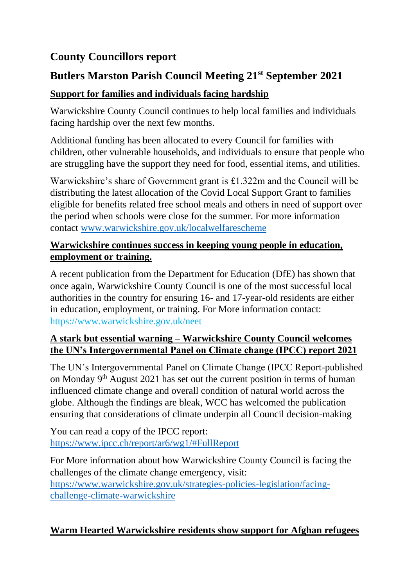## **County Councillors report**

## **Butlers Marston Parish Council Meeting 21st September 2021**

#### **Support for families and individuals facing hardship**

Warwickshire County Council continues to help local families and individuals facing hardship over the next few months.

Additional funding has been allocated to every Council for families with children, other vulnerable households, and individuals to ensure that people who are struggling have the support they need for food, essential items, and utilities.

Warwickshire's share of Government grant is £1.322m and the Council will be distributing the latest allocation of the Covid Local Support Grant to families eligible for benefits related free school meals and others in need of support over the period when schools were close for the summer. For more information contact [www.warwickshire.gov.uk/localwelfarescheme](http://www.warwickshire.gov.uk/localwelfarescheme)

#### **Warwickshire continues success in keeping young people in education, employment or training.**

A recent publication from the Department for Education (DfE) has shown that once again, Warwickshire County Council is one of the most successful local authorities in the country for ensuring 16- and 17-year-old residents are either in education, employment, or training. For More information contact: https://www.warwickshire.gov.uk/neet

#### **A stark but essential warning – Warwickshire County Council welcomes the UN's Intergovernmental Panel on Climate change (IPCC) report 2021**

The UN's Intergovernmental Panel on Climate Change (IPCC Report-published on Monday 9th August 2021 has set out the current position in terms of human influenced climate change and overall condition of natural world across the globe. Although the findings are bleak, WCC has welcomed the publication ensuring that considerations of climate underpin all Council decision-making

You can read a copy of the IPCC report: <https://www.ipcc.ch/report/ar6/wg1/#FullReport>

For More information about how Warwickshire County Council is facing the challenges of the climate change emergency, visit: [https://www.warwickshire.gov.uk/strategies-policies-legislation/facing](https://www.warwickshire.gov.uk/strategies-policies-legislation/facing-challenge-climate-warwickshire)[challenge-climate-warwickshire](https://www.warwickshire.gov.uk/strategies-policies-legislation/facing-challenge-climate-warwickshire)

#### **Warm Hearted Warwickshire residents show support for Afghan refugees**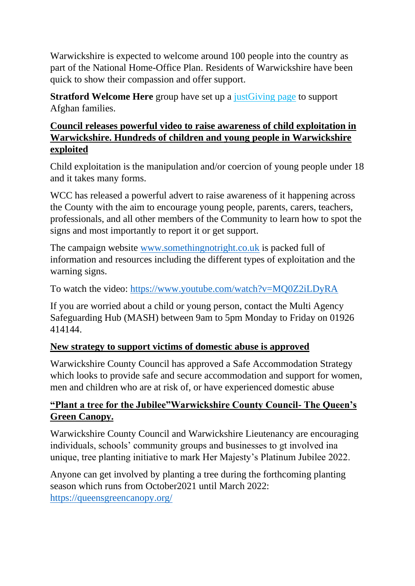Warwickshire is expected to welcome around 100 people into the country as part of the National Home-Office Plan. Residents of Warwickshire have been quick to show their compassion and offer support.

**Stratford Welcome Here** group have set up a just Giving page to support Afghan families.

#### **Council releases powerful video to raise awareness of child exploitation in Warwickshire. Hundreds of children and young people in Warwickshire exploited**

Child exploitation is the manipulation and/or coercion of young people under 18 and it takes many forms.

WCC has released a powerful advert to raise awareness of it happening across the County with the aim to encourage young people, parents, carers, teachers, professionals, and all other members of the Community to learn how to spot the signs and most importantly to report it or get support.

The campaign website [www.somethingnotright.co.uk](http://www.somethingnotright.co.uk/) is packed full of information and resources including the different types of exploitation and the warning signs.

To watch the video:<https://www.youtube.com/watch?v=MQ0Z2iLDyRA>

If you are worried about a child or young person, contact the Multi Agency Safeguarding Hub (MASH) between 9am to 5pm Monday to Friday on 01926 414144.

#### **New strategy to support victims of domestic abuse is approved**

Warwickshire County Council has approved a Safe Accommodation Strategy which looks to provide safe and secure accommodation and support for women, men and children who are at risk of, or have experienced domestic abuse

#### **"Plant a tree for the Jubilee"Warwickshire County Council- The Queen's Green Canopy.**

Warwickshire County Council and Warwickshire Lieutenancy are encouraging individuals, schools' community groups and businesses to gt involved ina unique, tree planting initiative to mark Her Majesty's Platinum Jubilee 2022.

Anyone can get involved by planting a tree during the forthcoming planting season which runs from October2021 until March 2022: <https://queensgreencanopy.org/>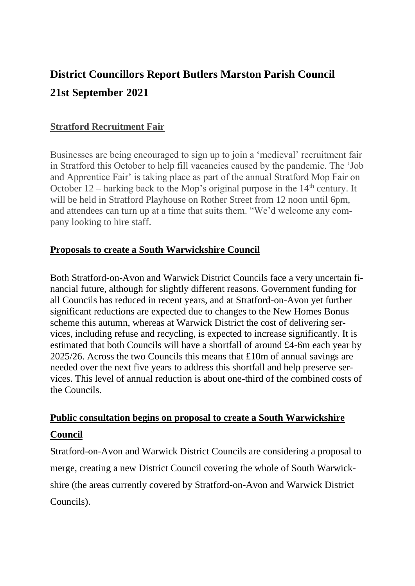# **District Councillors Report Butlers Marston Parish Council 21st September 2021**

#### **Stratford Recruitment Fair**

Businesses are being encouraged to sign up to join a 'medieval' recruitment fair in Stratford this October to help fill vacancies caused by the pandemic. The 'Job and Apprentice Fair' is taking place as part of the annual Stratford Mop Fair on October  $12$  – harking back to the Mop's original purpose in the  $14<sup>th</sup>$  century. It will be held in Stratford Playhouse on Rother Street from 12 noon until 6pm, and attendees can turn up at a time that suits them. "We'd welcome any company looking to hire staff.

#### **Proposals to create a South Warwickshire Council**

Both Stratford-on-Avon and Warwick District Councils face a very uncertain financial future, although for slightly different reasons. Government funding for all Councils has reduced in recent years, and at Stratford-on-Avon yet further significant reductions are expected due to changes to the New Homes Bonus scheme this autumn, whereas at Warwick District the cost of delivering services, including refuse and recycling, is expected to increase significantly. It is estimated that both Councils will have a shortfall of around £4-6m each year by 2025/26. Across the two Councils this means that £10m of annual savings are needed over the next five years to address this shortfall and help preserve services. This level of annual reduction is about one-third of the combined costs of the Councils.

## **Public consultation begins on proposal to create a South Warwickshire Council**

Stratford-on-Avon and Warwick District Councils are considering a proposal to merge, creating a new District Council covering the whole of South Warwickshire (the areas currently covered by Stratford-on-Avon and Warwick District Councils).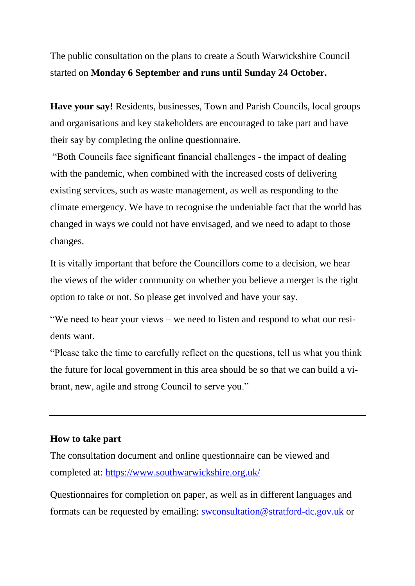The public consultation on the plans to create a South Warwickshire Council started on **Monday 6 September and runs until Sunday 24 October.**

**Have your say!** Residents, businesses, Town and Parish Councils, local groups and organisations and key stakeholders are encouraged to take part and have their say by completing the online questionnaire.

"Both Councils face significant financial challenges - the impact of dealing with the pandemic, when combined with the increased costs of delivering existing services, such as waste management, as well as responding to the climate emergency. We have to recognise the undeniable fact that the world has changed in ways we could not have envisaged, and we need to adapt to those changes.

It is vitally important that before the Councillors come to a decision, we hear the views of the wider community on whether you believe a merger is the right option to take or not. So please get involved and have your say.

"We need to hear your views – we need to listen and respond to what our residents want.

"Please take the time to carefully reflect on the questions, tell us what you think the future for local government in this area should be so that we can build a vibrant, new, agile and strong Council to serve you."

#### **How to take part**

The consultation document and online questionnaire can be viewed and completed at:<https://www.southwarwickshire.org.uk/>

Questionnaires for completion on paper, as well as in different languages and formats can be requested by emailing: [swconsultation@stratford-dc.gov.uk](mailto:swconsultation@stratford-dc.gov.uk) or